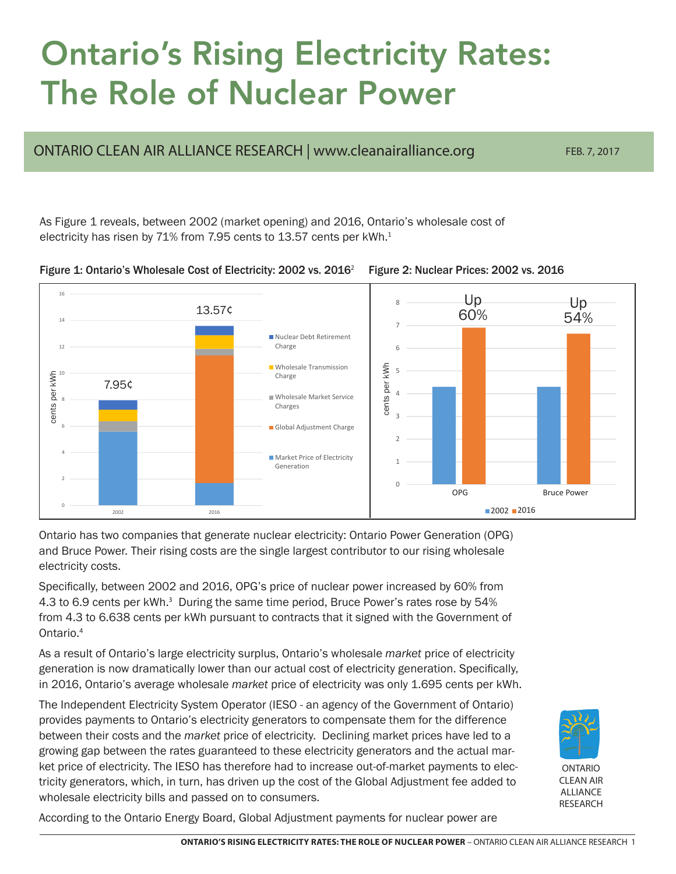## Ontario's Rising Electricity Rates: The Role of Nuclear Power

ONTARIO CLEAN AIR ALLIANCE RESEARCH | <www.cleanairalliance.org> FEB. 7, 2017

As Figure 1 reveals, between 2002 (market opening) and 2016, Ontario's wholesale cost of electricity has risen by 71% from 7.95 cents to 13.57 cents per kWh.<sup>1</sup>



Figure 2: Nuclear Prices: 2002 vs. 2016



Ontario has two companies that generate nuclear electricity: Ontario Power Generation (OPG) and Bruce Power. Their rising costs are the single largest contributor to our rising wholesale electricity costs.

Specifically, between 2002 and 2016, OPG's price of nuclear power increased by 60% from 4.3 to 6.9 cents per kWh.<sup>3</sup> During the same time period, Bruce Power's rates rose by 54% from 4.3 to 6.638 cents per kWh pursuant to contracts that it signed with the Government of Ontario.<sup>4</sup>

As a result of Ontario's large electricity surplus, Ontario's wholesale *market* price of electricity generation is now dramatically lower than our actual cost of electricity generation. Specifically, in 2016, Ontario's average wholesale *market* price of electricity was only 1.695 cents per kWh.

The Independent Electricity System Operator (IESO - an agency of the Government of Ontario) provides payments to Ontario's electricity generators to compensate them for the difference between their costs and the *market* price of electricity. Declining market prices have led to a growing gap between the rates guaranteed to these electricity generators and the actual market price of electricity. The IESO has therefore had to increase out-of-market payments to electricity generators, which, in turn, has driven up the cost of the Global Adjustment fee added to wholesale electricity bills and passed on to consumers.



According to the Ontario Energy Board, Global Adjustment payments for nuclear power are